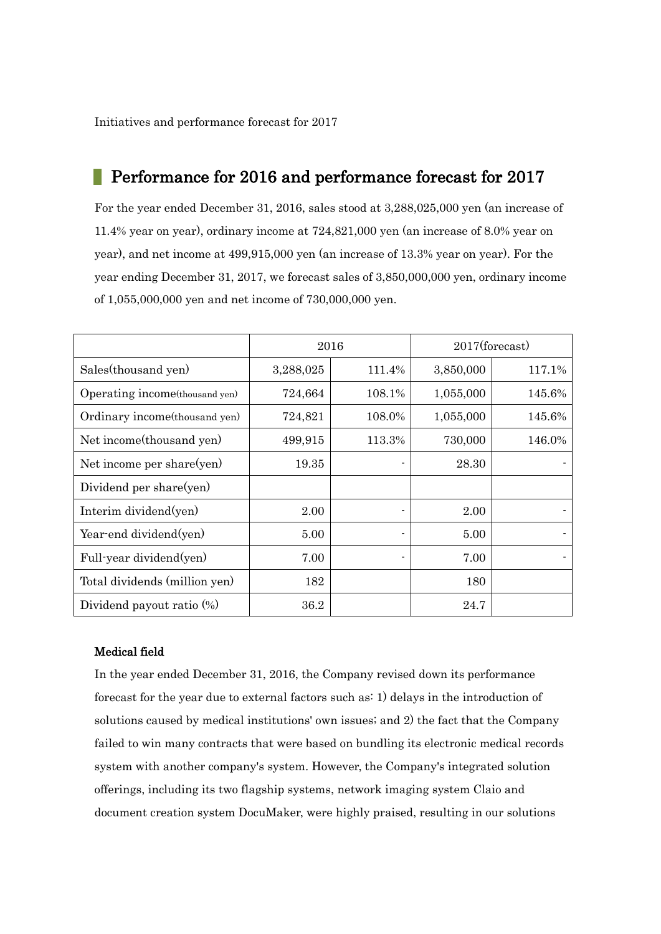Initiatives and performance forecast for 2017

## Performance for 2016 and performance forecast for 2017

For the year ended December 31, 2016, sales stood at 3,288,025,000 yen (an increase of 11.4% year on year), ordinary income at 724,821,000 yen (an increase of 8.0% year on year), and net income at 499,915,000 yen (an increase of 13.3% year on year). For the year ending December 31, 2017, we forecast sales of 3,850,000,000 yen, ordinary income of 1,055,000,000 yen and net income of 730,000,000 yen.

|                                 | 2016      |        | $2017$ (forecast) |        |
|---------------------------------|-----------|--------|-------------------|--------|
| Sales(thousand yen)             | 3,288,025 | 111.4% | 3,850,000         | 117.1% |
| Operating income (thousand yen) | 724,664   | 108.1% | 1,055,000         | 145.6% |
| Ordinary income (thousand yen)  | 724,821   | 108.0% | 1,055,000         | 145.6% |
| Net income (thousand yen)       | 499,915   | 113.3% | 730,000           | 146.0% |
| Net income per share(yen)       | 19.35     |        | 28.30             |        |
| Dividend per share(yen)         |           |        |                   |        |
| Interim dividend(yen)           | 2.00      |        | 2.00              |        |
| Year-end dividend(yen)          | 5.00      |        | 5.00              |        |
| Full-year dividend(yen)         | 7.00      |        | 7.00              |        |
| Total dividends (million yen)   | 182       |        | 180               |        |
| Dividend payout ratio (%)       | 36.2      |        | 24.7              |        |

## Medical field

In the year ended December 31, 2016, the Company revised down its performance forecast for the year due to external factors such as: 1) delays in the introduction of solutions caused by medical institutions' own issues; and 2) the fact that the Company failed to win many contracts that were based on bundling its electronic medical records system with another company's system. However, the Company's integrated solution offerings, including its two flagship systems, network imaging system Claio and document creation system DocuMaker, were highly praised, resulting in our solutions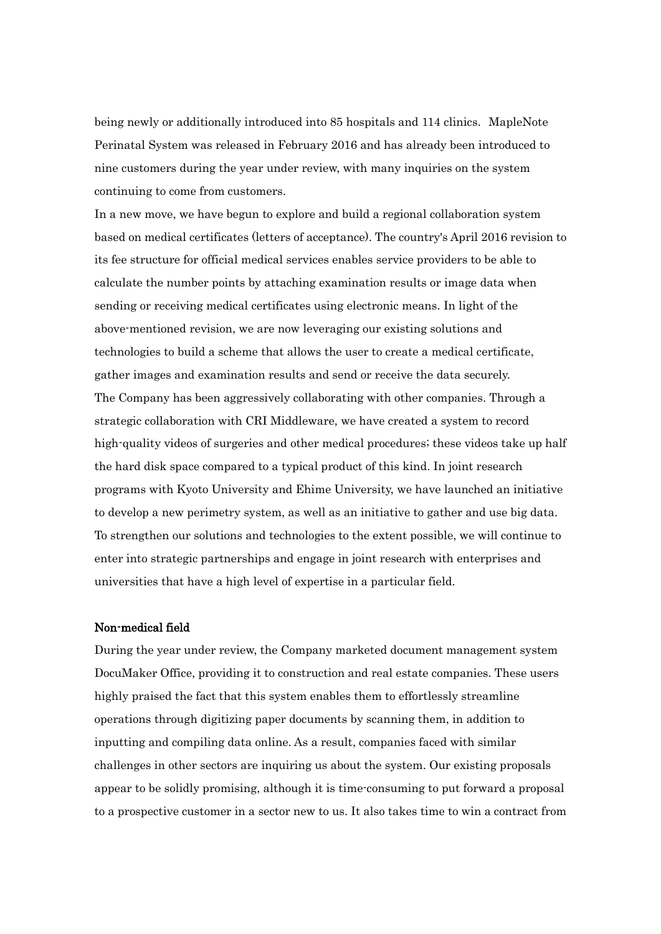being newly or additionally introduced into 85 hospitals and 114 clinics. MapleNote Perinatal System was released in February 2016 and has already been introduced to nine customers during the year under review, with many inquiries on the system continuing to come from customers.

In a new move, we have begun to explore and build a regional collaboration system based on medical certificates (letters of acceptance). The country's April 2016 revision to its fee structure for official medical services enables service providers to be able to calculate the number points by attaching examination results or image data when sending or receiving medical certificates using electronic means. In light of the above-mentioned revision, we are now leveraging our existing solutions and technologies to build a scheme that allows the user to create a medical certificate, gather images and examination results and send or receive the data securely. The Company has been aggressively collaborating with other companies. Through a strategic collaboration with CRI Middleware, we have created a system to record high-quality videos of surgeries and other medical procedures; these videos take up half the hard disk space compared to a typical product of this kind. In joint research programs with Kyoto University and Ehime University, we have launched an initiative to develop a new perimetry system, as well as an initiative to gather and use big data. To strengthen our solutions and technologies to the extent possible, we will continue to enter into strategic partnerships and engage in joint research with enterprises and universities that have a high level of expertise in a particular field.

## Non-medical field

During the year under review, the Company marketed document management system DocuMaker Office, providing it to construction and real estate companies. These users highly praised the fact that this system enables them to effortlessly streamline operations through digitizing paper documents by scanning them, in addition to inputting and compiling data online. As a result, companies faced with similar challenges in other sectors are inquiring us about the system. Our existing proposals appear to be solidly promising, although it is time-consuming to put forward a proposal to a prospective customer in a sector new to us. It also takes time to win a contract from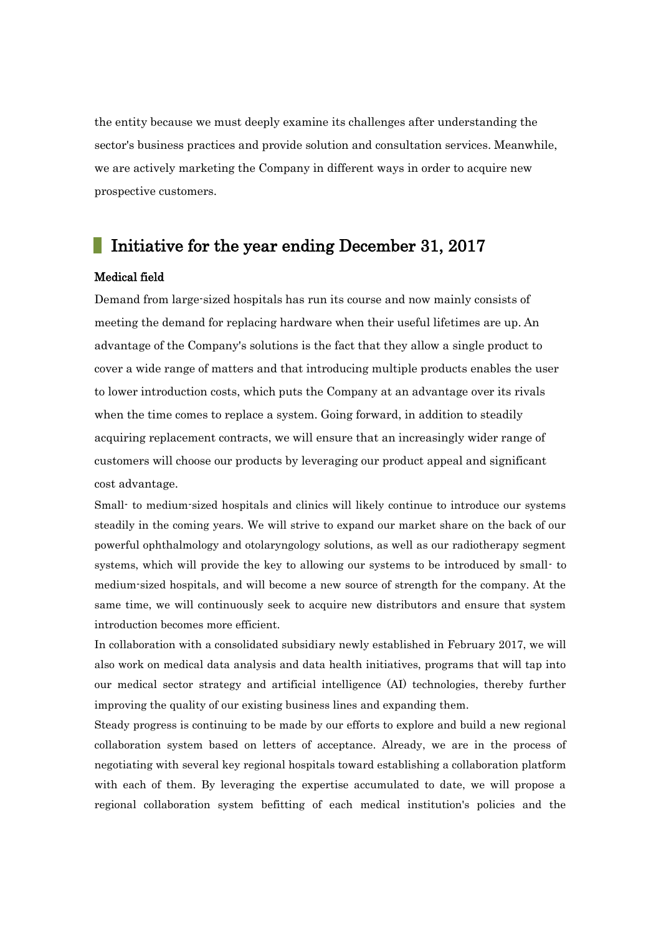the entity because we must deeply examine its challenges after understanding the sector's business practices and provide solution and consultation services. Meanwhile, we are actively marketing the Company in different ways in order to acquire new prospective customers.

# Initiative for the year ending December 31, 2017

### Medical field

Demand from large-sized hospitals has run its course and now mainly consists of meeting the demand for replacing hardware when their useful lifetimes are up. An advantage of the Company's solutions is the fact that they allow a single product to cover a wide range of matters and that introducing multiple products enables the user to lower introduction costs, which puts the Company at an advantage over its rivals when the time comes to replace a system. Going forward, in addition to steadily acquiring replacement contracts, we will ensure that an increasingly wider range of customers will choose our products by leveraging our product appeal and significant cost advantage.

Small- to medium-sized hospitals and clinics will likely continue to introduce our systems steadily in the coming years. We will strive to expand our market share on the back of our powerful ophthalmology and otolaryngology solutions, as well as our radiotherapy segment systems, which will provide the key to allowing our systems to be introduced by small- to medium-sized hospitals, and will become a new source of strength for the company. At the same time, we will continuously seek to acquire new distributors and ensure that system introduction becomes more efficient.

In collaboration with a consolidated subsidiary newly established in February 2017, we will also work on medical data analysis and data health initiatives, programs that will tap into our medical sector strategy and artificial intelligence (AI) technologies, thereby further improving the quality of our existing business lines and expanding them.

Steady progress is continuing to be made by our efforts to explore and build a new regional collaboration system based on letters of acceptance. Already, we are in the process of negotiating with several key regional hospitals toward establishing a collaboration platform with each of them. By leveraging the expertise accumulated to date, we will propose a regional collaboration system befitting of each medical institution's policies and the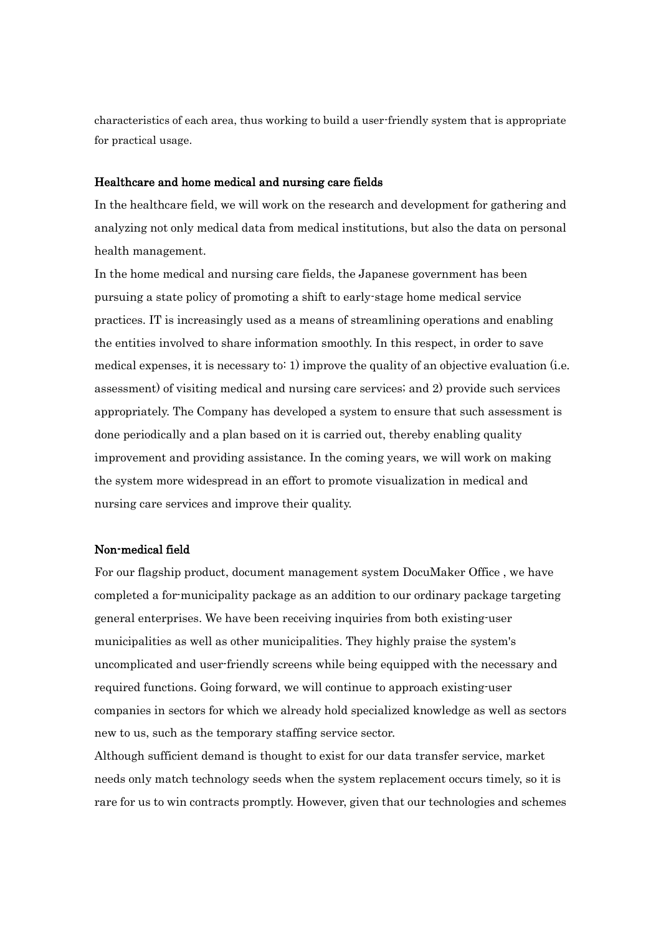characteristics of each area, thus working to build a user-friendly system that is appropriate for practical usage.

### Healthcare and home medical and nursing care fields

In the healthcare field, we will work on the research and development for gathering and analyzing not only medical data from medical institutions, but also the data on personal health management.

In the home medical and nursing care fields, the Japanese government has been pursuing a state policy of promoting a shift to early-stage home medical service practices. IT is increasingly used as a means of streamlining operations and enabling the entities involved to share information smoothly. In this respect, in order to save medical expenses, it is necessary to: 1) improve the quality of an objective evaluation (i.e. assessment) of visiting medical and nursing care services; and 2) provide such services appropriately. The Company has developed a system to ensure that such assessment is done periodically and a plan based on it is carried out, thereby enabling quality improvement and providing assistance. In the coming years, we will work on making the system more widespread in an effort to promote visualization in medical and nursing care services and improve their quality.

### Non-medical field

For our flagship product, document management system DocuMaker Office , we have completed a for-municipality package as an addition to our ordinary package targeting general enterprises. We have been receiving inquiries from both existing-user municipalities as well as other municipalities. They highly praise the system's uncomplicated and user-friendly screens while being equipped with the necessary and required functions. Going forward, we will continue to approach existing-user companies in sectors for which we already hold specialized knowledge as well as sectors new to us, such as the temporary staffing service sector.

Although sufficient demand is thought to exist for our data transfer service, market needs only match technology seeds when the system replacement occurs timely, so it is rare for us to win contracts promptly. However, given that our technologies and schemes